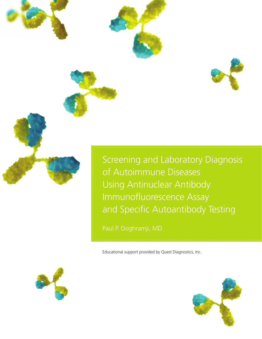

Screening and Laboratory Diagnosis of Autoimmune Diseases Using Antinuclear Antibody Immunofluorescence Assay and Specific Autoantibody Testing

Paul P. Doghramji, MD

Educational support provided by Quest Diagnostics, Inc.



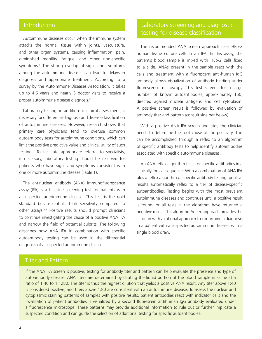Autoimmune diseases occur when the immune system attacks the normal tissue within joints, vasculature, and other organ systems, causing inflammation, pain, diminished mobility, fatigue, and other non-specific symptoms.1 The strong overlap of signs and symptoms among the autoimmune diseases can lead to delays in diagnosis and appropriate treatment. According to a survey by the Autoimmune Diseases Association, it takes up to 4.6 years and nearly 5 doctor visits to receive a proper autoimmune disease diagnosis.<sup>2</sup>

Laboratory testing, in addition to clinical assessment, is necessary for differential diagnosis and disease classification of autoimmune diseases. However, research shows that primary care physicians tend to overuse common autoantibody tests for autoimmune conditions, which can limit the positive predictive value and clinical utility of such testing.3 To facilitate appropriate referral to specialists, if necessary, laboratory testing should be reserved for patients who have signs and symptoms consistent with one or more autoimmune disease (Table 1).

The antinuclear antibody (ANA) immunofluorescence assay (IFA) is a first-line screening test for patients with a suspected autoimmune disease. This test is the gold standard because of its high sensitivity compared to other assays.4,5 Positive results should prompt clinicians to continue investigating the cause of a positive ANA IFA and narrow the field of potential culprits. The following describes how ANA IFA in combination with specific autoantibody testing can be used in the differential diagnosis of a suspected autoimmune disease.

## Introduction Laboratory screening and diagnostic testing for disease classification

The recommended ANA screen approach uses HEp-2 human tissue culture cells in an IFA. In this assay, the patient's blood sample is mixed with HEp-2 cells fixed to a slide. ANAs present in the sample react with the cells and treatment with a fluorescent anti-human IgG antibody allows visualization of antibody binding under fluorescence microscopy. This test screens for a large number of known autoantibodies, approximately 150, directed against nuclear antigens and cell cytoplasm. A positive screen result is followed by evaluation of antibody titer and pattern (consult side bar below).

With a positive ANA IFA screen and titer, the clinician needs to determine the root cause of the positivity. This can be accomplished through a reflex to an algorithm of specific antibody tests to help identify autoantibodies associated with specific autoimmune diseases.

An ANA reflex algorithm tests for specific antibodies in a clinically logical sequence. With a combination of ANA IFA plus a reflex algorithm of specific antibody testing, positive results automatically reflex to a tier of disease-specific autoantibodies. Testing begins with the most prevalent autoimmune diseases and continues until a positive result is found, or all tests in the algorithm have returned a negative result. This algorithm/reflex approach provides the clinician with a rational approach to confirming a diagnosis in a patient with a suspected autoimmune disease, with a single blood draw.

## Titer and Pattern

If the ANA IFA screen is positive, testing for antibody titer and pattern can help evaluate the presence and type of autoantibody disease. ANA titers are determined by diluting the liquid portion of the blood sample in saline at a ratio of 1:40 to 1:1280. The titer is thus the highest dilution that yields a positive ANA result. Any titer above 1:40 is considered positive, and titers above 1:80 are consistent with an autoimmune disease. To assess the nuclear and cytoplasmic staining patterns of samples with positive results, patient antibodies react with indicator cells and the localization of patient antibodies is visualized by a second fluorescein antihuman IgG antibody evaluated under a fluorescence microscope. These patterns may provide additional information to rule out or further implicate a suspected condition and can guide the selection of additional testing for specific autoantibodies.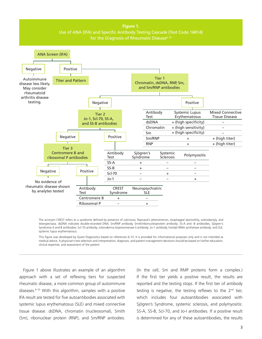

The acronym CREST refers to a syndrome defined by presence of calcinosis, Raynaud's phenomenon, esophageal dysmotility, sclerodactyly, and telangiectasia. dsDNA indicates double-stranded DNA; Sm/RNP antibody, Smith/ribonucleoprotein antibody; SS-A and -B antibodies, Sjögren's Syndrome A and B antibodies; Scl-70 antibody, scleroderma (topoisomerase I) antibody; Jo-1 antibody, histidyl-tRNA synthetase antibody; and SLE, systemic lupus erythematosus.

This figure was developed by Quest Diagnostics based on references 6-10. It is provided for informational purposes only and is not intended as medical advice. A physician's test selection and interpretation, diagnosis, and patient management decisions should be based on his/her education, clinical expertise, and assessment of the patient.

Figure 1 above illustrates an example of an algorithm approach with a set of reflexing tiers for suspected if the first tier yields a positiv rheumatic disease, a more common group of autoimmune weported and the testing stops. If the first tier of anti diseases.<sup>6-10</sup> With this algorithm, samples with a positive IFA result are tested for five autoantibodies associated with a which includes four autoantibodies assoc systemic lupus erythematosus (SLE) and mixed connective tissue disease: dsDNA, chromatin (nucleosomal), Smith (Sm), ribonuclear protein (RNP), and Sm/RNP antiodies. *Autoimmun Rev*. 2007;7:77-84. resuit are tested for five autoantibo

(In the cell, Sm and RMP proteins form a complex.) If the first tier yields a positive result, the results are reported and the testing stops. If the first tier of antibody testing is negative, the testing reflexes to the  $2^{nd}$  tier, which includes four autoantibodies associated with Sjögren's Syndrome, systemic sclerosis, and polymyositis: SS-A, SS-B, Scl-70, and Jo-I antibodies. If a positive result is determined for any of these autoantibodies, the results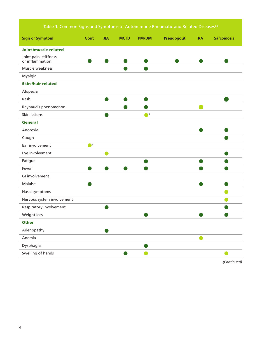## Table 1. Common Signs and Symptoms of Autoimmune Rheumatic and Related Diseases<sup>a,b</sup>

| <b>Sign or Symptom</b>                    | Gout                   | <b>JIA</b> | <b>MCTD</b> | <b>PM/DM</b> | <b>Pseudogout</b> | <b>RA</b> | <b>Sarcoidosis</b> |
|-------------------------------------------|------------------------|------------|-------------|--------------|-------------------|-----------|--------------------|
| Joint-/muscle-related                     |                        |            |             |              |                   |           |                    |
| Joint pain, stiffness,<br>or inflammation |                        |            |             |              |                   |           |                    |
| Muscle weakness                           |                        |            |             |              |                   |           |                    |
| Myalgia                                   |                        |            |             |              |                   |           |                    |
| <b>Skin-/hair-related</b>                 |                        |            |             |              |                   |           |                    |
| Alopecia                                  |                        |            |             |              |                   |           |                    |
| Rash                                      |                        |            |             |              |                   |           |                    |
| Raynaud's phenomenon                      |                        |            |             |              |                   |           |                    |
| Skin lesions                              |                        |            |             | $\bullet$    |                   |           |                    |
| <b>General</b>                            |                        |            |             |              |                   |           |                    |
| Anorexia                                  |                        |            |             |              |                   |           |                    |
| Cough                                     |                        |            |             |              |                   |           |                    |
| Ear involvement                           | $\bullet$ <sup>d</sup> |            |             |              |                   |           |                    |
| Eye involvement                           |                        |            |             |              |                   |           |                    |
| Fatigue                                   |                        |            |             |              |                   |           |                    |
| Fever                                     |                        |            |             |              |                   |           |                    |
| GI involvement                            |                        |            |             |              |                   |           |                    |
| Malaise                                   |                        |            |             |              |                   |           |                    |
| Nasal symptoms                            |                        |            |             |              |                   |           |                    |
| Nervous system involvement                |                        |            |             |              |                   |           |                    |
| Respiratory involvement                   |                        |            |             |              |                   |           |                    |
| Weight loss                               |                        |            |             |              |                   |           |                    |
| <b>Other</b>                              |                        |            |             |              |                   |           |                    |
| Adenopathy                                |                        |            |             |              |                   |           |                    |
| Anemia                                    |                        |            |             |              |                   |           |                    |
| Dysphagia                                 |                        |            |             |              |                   |           |                    |
| Swelling of hands                         |                        |            |             |              |                   |           |                    |

*(Continued)*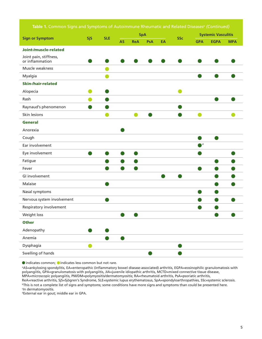Table 1. Common Signs and Symptoms of Autoimmune Rheumatic and Related Diseases<sup>a</sup> (Continued)

| <b>Sign or Symptom</b>                    | <b>SjS</b> | <b>SLE</b> | <b>SpA</b> |            |     |    | <b>Systemic Vasculitis</b> |                |             |            |
|-------------------------------------------|------------|------------|------------|------------|-----|----|----------------------------|----------------|-------------|------------|
|                                           |            |            | <b>AS</b>  | <b>ReA</b> | PsA | EA | <b>SSc</b>                 | <b>GPA</b>     | <b>EGPA</b> | <b>MPA</b> |
| Joint-/muscle-related                     |            |            |            |            |     |    |                            |                |             |            |
| Joint pain, stiffness,<br>or inflammation |            |            |            |            |     |    |                            |                |             |            |
| Muscle weakness                           |            |            |            |            |     |    |                            |                |             |            |
| Myalgia                                   |            |            |            |            |     |    |                            |                |             |            |
| <b>Skin-/hair-related</b>                 |            |            |            |            |     |    |                            |                |             |            |
| Alopecia                                  |            |            |            |            |     |    |                            |                |             |            |
| Rash                                      |            |            |            |            |     |    |                            |                |             |            |
| Raynaud's phenomenon                      |            |            |            |            |     |    |                            |                |             |            |
| Skin lesions                              |            |            |            |            |     |    |                            |                |             |            |
| <b>General</b>                            |            |            |            |            |     |    |                            |                |             |            |
| Anorexia                                  |            |            |            |            |     |    |                            |                |             |            |
| Cough                                     |            |            |            |            |     |    |                            |                |             |            |
| Ear involvement                           |            |            |            |            |     |    |                            | $\blacksquare$ |             |            |
| Eye involvement                           |            |            |            |            |     |    |                            |                |             |            |
| Fatigue                                   |            |            |            |            |     |    |                            |                |             |            |
| Fever                                     |            |            |            |            |     |    |                            |                |             |            |
| GI involvement                            |            |            |            |            |     |    |                            |                |             |            |
| Malaise                                   |            |            |            |            |     |    |                            |                |             |            |
| Nasal symptoms                            |            |            |            |            |     |    |                            |                |             |            |
| Nervous system involvement                |            |            |            |            |     |    |                            |                |             |            |
| Respiratory involvement                   |            |            |            |            |     |    |                            |                |             |            |
| Weight loss                               |            |            |            |            |     |    |                            |                |             |            |
| <b>Other</b>                              |            |            |            |            |     |    |                            |                |             |            |
| Adenopathy                                |            |            |            |            |     |    |                            |                |             |            |
| Anemia                                    |            |            |            |            |     |    |                            |                |             |            |
| Dysphagia                                 | o l        |            |            |            |     |    |                            |                |             |            |
| Swelling of hands                         |            |            |            |            |     |    |                            |                |             |            |

 $\bullet$  indicates common;  $\bullet$  indicates less common but not rare.

a AS=ankylosing spondylitis, EA=enteropathic (inflammatory bowel disease-associated) arthritis, EGPA=eosinophilic granulomatosis with polyangiitis, GPA=granulomatosis with polyangiitis, JIA=juvenile idiopathic arthritis, MCTD=mixed connective tissue disease, MPA=microscopic polyangiitis, PM/DM=polymyositis/dermatomyositis; RA=rheumatoid arthritis, PsA=psoriatic arthritis, ReA=reactive arthritis, SjS=Sjögren's Syndrome, SLE=systemic lupus erythematosus, SpA=spondyloarthropathies, SSc=systemic sclerosis.

bThis is not a complete list of signs and symptoms; some conditions have more signs and symptoms than could be presented here. c In dermatomyositis.

dExternal ear in gout; middle ear in GPA.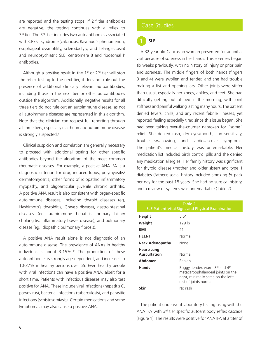are reported and the testing stops. If  $2^{nd}$  tier antibodies are negative, the testing continues with a reflex to 3<sup>rd</sup> tier. The 3<sup>rd</sup> tier includes two autoantibodies associated with CREST syndrome (calcinosis, Raynaud's phenomenon, esophageal dysmotility, sclerodactyly, and telangiectasia) and neuropsychiatric SLE: centromere B and ribosomal P antibodies.

Although a positive result in the  $1<sup>st</sup>$  or  $2<sup>nd</sup>$  tier will stop the reflex testing to the next tier, it does not rule out the presence of additional clinically relevant autoantibodies, including those in the next tier or other autoantibodies outside the algorithm. Additionally, negative results for all three tiers do not rule out an autoimmune disease, as not all autoimmune diseases are represented in this algorithm. Note that the clinician can request full reporting through all three tiers, especially if a rheumatic autoimmune disease is strongly suspected.<sup>11</sup>

Clinical suspicion and correlation are generally necessary to proceed with additional testing for other specific antibodies beyond the algorithm of the most common rheumatic diseases. For example, a positive ANA IFA is a diagnostic criterion for drug-induced lupus, polymyositis/ dermatomyositis, other forms of idiopathic inflammatory myopathy, and oligoarticular juvenile chronic arthritis. A positive ANA result is also consistent with organ-specific autoimmune diseases, including thyroid diseases (eg, Hashimoto's thyroiditis, Grave's disease), gastrointestinal diseases (eg, autoimmune hepatitis, primary biliary cholangitis, inflammatory bowel disease), and pulmonary disease (eg, idiopathic pulmonary fibrosis).

A positive ANA result alone is not diagnostic of an autoimmune disease. The prevalence of ANAs in healthy individuals is about  $3-15\%$ .<sup>11</sup> The production of these autoantibodies is strongly age-dependent, and increases to 10-37% in healthy persons over 65. Even healthy people with viral infections can have a positive ANA, albeit for a short time. Patients with infectious diseases may also test positive for ANA. These include viral infections (hepatitis C, parvovirus), bacterial infections (tuberculosis), and parasitic infections (schistosomiasis). Certain medications and some lymphomas may also cause a positive ANA. The patient underwent laboratory testing using with the

## Case Studies

# **SLE**

A 32-year-old Caucasian woman presented for an initial visit because of soreness in her hands. This soreness began six weeks previously, with no history of injury or prior pain and soreness. The middle fingers of both hands (fingers 3 and 4) were swollen and tender, and she had trouble making a fist and opening jars. Other joints were stiffer than usual, especially her knees, ankles, and feet. She had difficulty getting out of bed in the morning, with joint stiffness and painful walking lasting many hours. The patient denied fevers, chills, and any recent febrile illnesses, yet reported feeling especially tired since this issue began. She had been taking over-the-counter naproxen for "some" relief. She denied rash, dry eyes/mouth, sun sensitivity, trouble swallowing, and cardiovascular symptoms. The patient's medical history was unremarkable. Her medication list included birth control pills and she denied any medication allergies. Her family history was significant for thyroid disease (mother and older sister) and type 1 diabetes (father); social history included smoking ½ pack per day for the past 18 years. She had no surgical history, and a review of systems was unremarkable (Table 2).

| Table 2.<br>SLE Patient Vital Signs and Physical Examination |                                                                                                                                     |  |  |  |
|--------------------------------------------------------------|-------------------------------------------------------------------------------------------------------------------------------------|--|--|--|
| Height                                                       | 5'6''                                                                                                                               |  |  |  |
| Weight                                                       | 129 lb                                                                                                                              |  |  |  |
| BMI                                                          | 21                                                                                                                                  |  |  |  |
| <b>HEENT</b>                                                 | Normal                                                                                                                              |  |  |  |
| <b>Neck Adenopathy</b>                                       | None                                                                                                                                |  |  |  |
| Heart/Lung<br><b>Auscultation</b>                            | Normal                                                                                                                              |  |  |  |
| Abdomen                                                      | Benign                                                                                                                              |  |  |  |
| <b>Hands</b>                                                 | Boggy, tender, warm 3rd and 4th<br>metacarpophalangeal joints on the<br>right, minimally same on the left;<br>rest of joints normal |  |  |  |
| Skin                                                         | No rash                                                                                                                             |  |  |  |

ANA IFA with 3rd tier specific autoantibody reflex cascade (Figure 1). The results were positive for ANA IFA at a titer of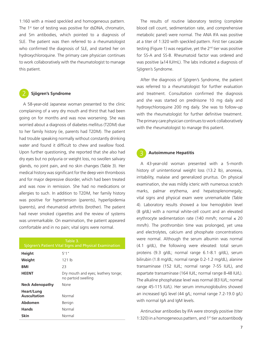1:160 with a mixed speckled and homogeneous pattern. The  $1<sup>st</sup>$  tier of testing was positive for dsDNA, chromatin, and Sm antibodies, which pointed to a diagnosis of SLE. The patient was then referred to a rheumatologist who confirmed the diagnosis of SLE, and started her on hydroxychloroquine. The primary care physician continues to work collaboratively with the rheumatologist to manage this patient.

### **Sjögren's Syndrome**

A 58-year-old Japanese woman presented to the clinic complaining of a very dry mouth and thirst that had been going on for months and was now worsening. She was worried about a diagnosis of diabetes mellitus (T2DM) due to her family history (ie, parents had T2DM). The patient had trouble speaking normally without constantly drinking water and found it difficult to chew and swallow food. Upon further questioning, she reported that she also had dry eyes but no polyuria or weight loss, no swollen salivary glands, no joint pain, and no skin changes (Table 3). Her medical history was significant for the deep vein thrombosis and for major depressive disorder, which had been treated and was now in remission. She had no medications or allergies to such. In addition to T2DM, her family history was positive for hypertension (parents), hyperlipidemia (parents), and rheumatoid arthritis (brother). The patient had never smoked cigarettes and the review of systems was unremarkable. On examination, the patient appeared comfortable and in no pain; vital signs were normal.

| Table 3.<br>Sjögren's Patient Vital Signs and Physical Examination |                                                            |  |  |  |
|--------------------------------------------------------------------|------------------------------------------------------------|--|--|--|
| Height                                                             | 5'1''                                                      |  |  |  |
| Weight                                                             | 121 lb                                                     |  |  |  |
| BMI                                                                | 23                                                         |  |  |  |
| <b>HEENT</b>                                                       | Dry mouth and eyes; leathery tonge;<br>no partoid swelling |  |  |  |
| <b>Neck Adenopathy</b>                                             | None                                                       |  |  |  |
| Heart/Lung<br>Auscultation                                         | Normal                                                     |  |  |  |
| Abdomen                                                            | Benign                                                     |  |  |  |
| <b>Hands</b>                                                       | Normal                                                     |  |  |  |
| Skin                                                               | Normal                                                     |  |  |  |

The results of routine laboratory testing (complete blood cell count, sedimentation rate, and comprehensive metabolic panel) were normal. The ANA IFA was positive at a titer of 1:320 with speckled pattern. First tier cascade testing (Figure 1) was negative, yet the  $2<sup>nd</sup>$  tier was positive for SS-A and SS-B. Rheumatoid factor was ordered and was positive (≥ 14 IU/mL). The labs indicated a diagnosis of Sjögren's Syndrome.

After the diagnosis of Sjögren's Syndrome, the patient was referred to a rheumatologist for further evaluation and treatment. Consultation confirmed the diagnosis and she was started on prednisone 10 mg daily and hydroxychloroquine 200 mg daily. She was to follow-up with the rheumatologist for further definitive treatment. The primary care physician continues to work collaboratively with the rheumatologist to manage this patient.

#### **Autoimmune Hepatitis**

A 43-year-old woman presented with a 5-month history of unintentional weight loss (13.2 lb), anorexia, irritability, malaise and generalized pruritus. On physical examination, she was mildly icteric with numerous scratch marks, palmar erythema, and hepatosplenomegaly; vital signs and physical exam were unremarkable (Table 4). Laboratory results showed a low hemoglobin level (8 g/dL) with a normal white-cell count and an elevated erythrocyte sedimentation rate (140 mm/h; normal  $\leq 20$ mm/h). The prothrombin time was prolonged, yet urea and electrolytes, calcium and phosphate concentrations were normal. Although the serum albumin was normal (4.1 g/dL), the following were elevated: total serum proteins (9.3 g/dL; normal range 6.1-8.1 g/dL), serum bilirubin (1.8 mg/dL; normal range 0.2-1.2 mg/dL), alanine transaminase (152 IU/L; normal range 7-55 IU/L), and aspartate transaminase (164 IU/L; normal range 8-48 IU/L). The alkaline phosphatase level was normal (83 IU/L; normal range 45-115 IU/L). Her serum immunoglobulins showed an increased IgG level (44 g/L; normal range 7.2-19.0 g/L) with normal IgA and IgM levels.

Antinuclear antibodies by IFA were strongly positive (titer 1:320) in a homogeneous pattern, and  $1<sup>st</sup>$  tier autoantibody